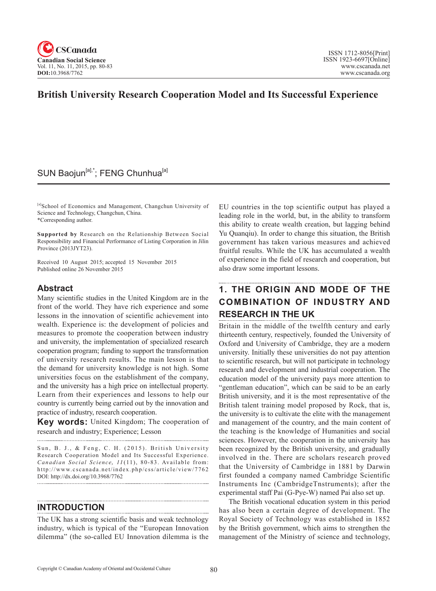

# **British University Research Cooperation Model and Its Successful Experience**

# SUN Baojun<sup>[a],\*</sup>; FENG Chunhua<sup>[a]</sup>

[a]School of Economics and Management, Changchun University of Science and Technology, Changchun, China. \*Corresponding author.

**Supported by** Research on the Relationship Between Social Responsibility and Financial Performance of Listing Corporation in Jilin Province (2013JYT23).

Received 10 August 2015; accepted 15 November 2015 Published online 26 November 2015

# **Abstract**

Many scientific studies in the United Kingdom are in the front of the world. They have rich experience and some lessons in the innovation of scientific achievement into wealth. Experience is: the development of policies and measures to promote the cooperation between industry and university, the implementation of specialized research cooperation program; funding to support the transformation of university research results. The main lesson is that the demand for university knowledge is not high. Some universities focus on the establishment of the company, and the university has a high price on intellectual property. Learn from their experiences and lessons to help our country is currently being carried out by the innovation and practice of industry, research cooperation.

**Key words:** United Kingdom; The cooperation of research and industry; Experience; Lesson 

Sun, B. J., & Feng, C. H. (2015). British University Research Cooperation Model and Its Successful Experience. Canadian Social Science, 11(11), 80-83. Available from: http://www.cscanada.net/index.php/css/article/view/7762 DOI: http://dx.doi.org/10.3968/7762

# **INTRODUCTION**

The UK has a strong scientific basis and weak technology industry, which is typical of the "European Innovation dilemma" (the so-called EU Innovation dilemma is the

EU countries in the top scientific output has played a leading role in the world, but, in the ability to transform this ability to create wealth creation, but lagging behind Yu Quanqiu). In order to change this situation, the British government has taken various measures and achieved fruitful results. While the UK has accumulated a wealth of experience in the field of research and cooperation, but also draw some important lessons.

### **1. THE ORIGIN AND MODE OF THE COMBINATION OF INDUSTRY AND RESEARCH IN THE UK**

Britain in the middle of the twelfth century and early thirteenth century, respectively, founded the University of Oxford and University of Cambridge, they are a modern university. Initially these universities do not pay attention to scientific research, but will not participate in technology research and development and industrial cooperation. The education model of the university pays more attention to "gentleman education", which can be said to be an early British university, and it is the most representative of the British talent training model proposed by Rock, that is, the university is to cultivate the elite with the management and management of the country, and the main content of the teaching is the knowledge of Humanities and social sciences. However, the cooperation in the university has been recognized by the British university, and gradually involved in the. There are scholars research proved that the University of Cambridge in 1881 by Darwin first founded a company named Cambridge Scientific Instruments Inc (CambridgeTnstruments); after the experimental staff Pai (G-Pye-W) named Pai also set up.

The British vocational education system in this period has also been a certain degree of development. The Royal Society of Technology was established in 1852 by the British government, which aims to strengthen the management of the Ministry of science and technology,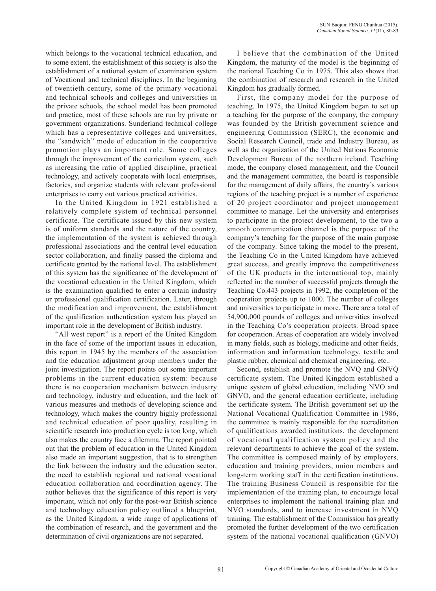which belongs to the vocational technical education, and to some extent, the establishment of this society is also the establishment of a national system of examination system of Vocational and technical disciplines. In the beginning of twentieth century, some of the primary vocational and technical schools and colleges and universities in the private schools, the school model has been promoted and practice, most of these schools are run by private or government organizations. Sunderland technical college which has a representative colleges and universities, the "sandwich" mode of education in the cooperative promotion plays an important role. Some colleges through the improvement of the curriculum system, such as increasing the ratio of applied discipline, practical technology, and actively cooperate with local enterprises, factories, and organize students with relevant professional enterprises to carry out various practical activities.

In the United Kingdom in 1921 established a relatively complete system of technical personnel certificate. The certificate issued by this new system is of uniform standards and the nature of the country, the implementation of the system is achieved through professional associations and the central level education sector collaboration, and finally passed the diploma and certificate granted by the national level. The establishment of this system has the significance of the development of the vocational education in the United Kingdom, which is the examination qualified to enter a certain industry or professional qualification certification. Later, through the modification and improvement, the establishment of the qualification authentication system has played an important role in the development of British industry.

"All west report" is a report of the United Kingdom in the face of some of the important issues in education, this report in 1945 by the members of the association and the education adjustment group members under the joint investigation. The report points out some important problems in the current education system: because there is no cooperation mechanism between industry and technology, industry and education, and the lack of various measures and methods of developing science and technology, which makes the country highly professional and technical education of poor quality, resulting in scientific research into production cycle is too long, which also makes the country face a dilemma. The report pointed out that the problem of education in the United Kingdom also made an important suggestion, that is to strengthen the link between the industry and the education sector, the need to establish regional and national vocational education collaboration and coordination agency. The author believes that the significance of this report is very important, which not only for the post-war British science and technology education policy outlined a blueprint, as the United Kingdom, a wide range of applications of the combination of research, and the government and the determination of civil organizations are not separated.

I believe that the combination of the United Kingdom, the maturity of the model is the beginning of the national Teaching Co in 1975. This also shows that the combination of research and research in the United Kingdom has gradually formed.

First, the company model for the purpose of teaching. In 1975, the United Kingdom began to set up a teaching for the purpose of the company, the company was founded by the British government science and engineering Commission (SERC), the economic and Social Research Council, trade and Industry Bureau, as well as the organization of the United Nations Economic Development Bureau of the northern ireland. Teaching mode, the company closed management, and the Council and the management committee, the board is responsible for the management of daily affairs, the country's various regions of the teaching project is a number of experience of 20 project coordinator and project management committee to manage. Let the university and enterprises to participate in the project development, to the two a smooth communication channel is the purpose of the company's teaching for the purpose of the main purpose of the company. Since taking the model to the present, the Teaching Co in the United Kingdom have achieved great success, and greatly improve the competitiveness of the UK products in the international top, mainly reflected in: the number of successful projects through the Teaching Co.443 projects in 1992, the completion of the cooperation projects up to 1000. The number of colleges and universities to participate in more. There are a total of 54,900,000 pounds of colleges and universities involved in the Teaching Co's cooperation projects. Broad space for cooperation. Areas of cooperation are widely involved in many fields, such as biology, medicine and other fields, information and information technology, textile and plastic rubber, chemical and chemical engineering, etc..

Second, establish and promote the NVQ and GNVQ certificate system. The United Kingdom established a unique system of global education, including NVO and GNVO, and the general education certificate, including the certificate system. The British government set up the National Vocational Qualification Committee in 1986, the committee is mainly responsible for the accreditation of qualifications awarded institutions, the development of vocational qualification system policy and the relevant departments to achieve the goal of the system. The committee is composed mainly of by employers, education and training providers, union members and long-term working staff in the certification institutions. The training Business Council is responsible for the implementation of the training plan, to encourage local enterprises to implement the national training plan and NVO standards, and to increase investment in NVQ training. The establishment of the Commission has greatly promoted the further development of the two certification system of the national vocational qualification (GNVO)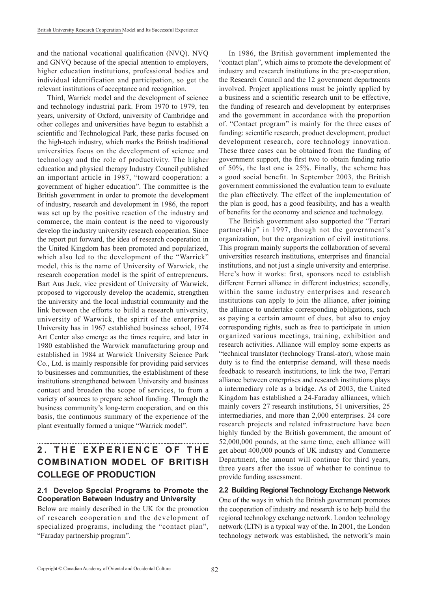and the national vocational qualification (NVQ). NVQ and GNVQ because of the special attention to employers, higher education institutions, professional bodies and individual identification and participation, so get the relevant institutions of acceptance and recognition.

Third, Warrick model and the development of science and technology industrial park. From 1970 to 1979, ten years, university of Oxford, university of Cambridge and other colleges and universities have begun to establish a scientific and Technological Park, these parks focused on the high-tech industry, which marks the British traditional universities focus on the development of science and technology and the role of productivity. The higher education and physical therapy Industry Council published an important article in 1987, "toward cooperation: a government of higher education". The committee is the British government in order to promote the development of industry, research and development in 1986, the report was set up by the positive reaction of the industry and commerce, the main content is the need to vigorously develop the industry university research cooperation. Since the report put forward, the idea of research cooperation in the United Kingdom has been promoted and popularized, which also led to the development of the "Warrick" model, this is the name of University of Warwick, the research cooperation model is the spirit of entrepreneurs. Bart Aus Jack, vice president of University of Warwick, proposed to vigorously develop the academic, strengthen the university and the local industrial community and the link between the efforts to build a research university, university of Warwick, the spirit of the enterprise. University has in 1967 established business school, 1974 Art Center also emerge as the times require, and later in 1980 established the Warwick manufacturing group and established in 1984 at Warwick University Science Park Co., Ltd. is mainly responsible for providing paid services to businesses and communities, the establishment of these institutions strengthened between University and business contact and broaden the scope of services, to from a variety of sources to prepare school funding. Through the business community's long-term cooperation, and on this basis, the continuous summary of the experience of the plant eventually formed a unique "Warrick model".

# **2 . T H E E X P E R I E N C E O F T H E COMBINATION MODEL OF BRITISH COLLEGE OF PRODUCTION**

#### **2.1 Develop Special Programs to Promote the Cooperation Between Industry and University**

Below are mainly described in the UK for the promotion of research cooperation and the development of specialized programs, including the "contact plan", "Faraday partnership program".

In 1986, the British government implemented the "contact plan", which aims to promote the development of industry and research institutions in the pre-cooperation, the Research Council and the 12 government departments involved. Project applications must be jointly applied by a business and a scientific research unit to be effective, the funding of research and development by enterprises and the government in accordance with the proportion of. "Contact program" is mainly for the three cases of funding: scientific research, product development, product development research, core technology innovation. These three cases can be obtained from the funding of government support, the first two to obtain funding ratio of 50%, the last one is 25%. Finally, the scheme has a good social benefit. In September 2003, the British government commissioned the evaluation team to evaluate the plan effectively. The effect of the implementation of the plan is good, has a good feasibility, and has a wealth of benefits for the economy and science and technology.

The British government also supported the "Ferrari partnership" in 1997, though not the government's organization, but the organization of civil institutions. This program mainly supports the collaboration of several universities research institutions, enterprises and financial institutions, and not just a single university and enterprise. Here's how it works: first, sponsors need to establish different Ferrari alliance in different industries; secondly, within the same industry enterprises and research institutions can apply to join the alliance, after joining the alliance to undertake corresponding obligations, such as paying a certain amount of dues, but also to enjoy corresponding rights, such as free to participate in union organized various meetings, training, exhibition and research activities. Alliance will employ some experts as "technical translator (technology Transl-ator), whose main duty is to find the enterprise demand, will these needs feedback to research institutions, to link the two, Ferrari alliance between enterprises and research institutions plays a intermediary role as a bridge. As of 2003, the United Kingdom has established a 24-Faraday alliances, which mainly covers 27 research institutions, 51 universities, 25 intermediaries, and more than 2,000 enterprises. 24 core research projects and related infrastructure have been highly funded by the British government, the amount of 52,000,000 pounds, at the same time, each alliance will get about 400,000 pounds of UK industry and Commerce Department, the amount will continue for third years, three years after the issue of whether to continue to provide funding assessment.

#### **2.2 Building Regional Technology Exchange Network** One of the ways in which the British government promotes the cooperation of industry and research is to help build the regional technology exchange network. London technology network (LTN) is a typical way of the. In 2001, the London technology network was established, the network's main